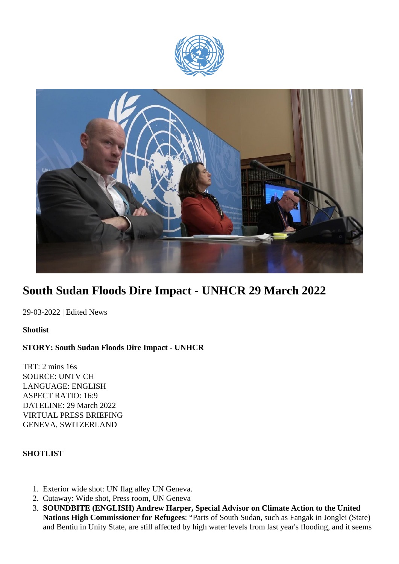



# **South Sudan Floods Dire Impact - UNHCR 29 March 2022**

29-03-2022 | Edited News

**Shotlist**

## **STORY: South Sudan Floods Dire Impact - UNHCR**

TRT: 2 mins 16s SOURCE: UNTV CH LANGUAGE: ENGLISH ASPECT RATIO: 16:9 DATELINE: 29 March 2022 VIRTUAL PRESS BRIEFING GENEVA, SWITZERLAND

#### **SHOTLIST**

- 1. Exterior wide shot: UN flag alley UN Geneva.
- 2. Cutaway: Wide shot, Press room, UN Geneva
- 3. **SOUNDBITE (ENGLISH) Andrew Harper, Special Advisor on Climate Action to the United Nations High Commissioner for Refugees**: "Parts of South Sudan, such as Fangak in Jonglei (State) and Bentiu in Unity State, are still affected by high water levels from last year's flooding, and it seems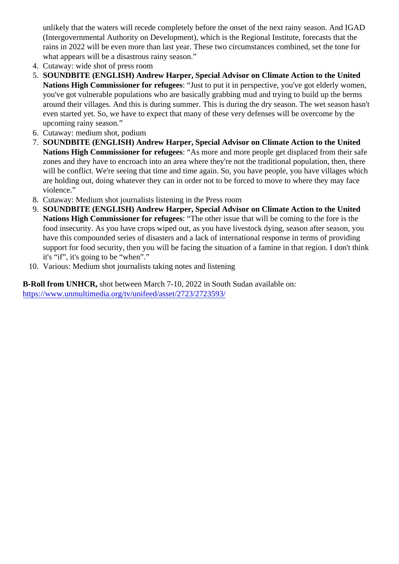unlikely that the waters will recede completely before the onset of the next rainy season. And IGAD (Intergovernmental Authority on Development), which is the Regional Institute, forecasts that the rains in 2022 will be even more than last year. These two circumstances combined, set the tone for what appears will be a disastrous rainy season."

- 4. Cutaway: wide shot of press room
- 5. SOUNDBITE (ENGLISH) Andrew Harper, Special Advisor on Climate Action to the United Nations High Commissioner for refugees "Just to put it in perspective, you've got elderly women, you've got vulnerable populations who are basically grabbing mud and trying to build up the berms around their villages. And this is during summer. This is during the dry season. The wet season hasn even started yet. So, we have to expect that many of these very defenses will be overcome by the upcoming rainy season."
- 6. Cutaway: medium shot, podium
- 7. SOUNDBITE (ENGLISH) Andrew Harper, Special Advisor on Climate Action to the United Nations High Commissioner for refugees As more and more people get displaced from their safe zones and they have to encroach into an area where they're not the traditional population, then, ther will be conflict. We're seeing that time and time again. So, you have people, you have villages which are holding out, doing whatever they can in order not to be forced to move to where they may face violence."
- 8. Cutaway: Medium shot journalists listening in the Press room
- 9. SOUNDBITE (ENGLISH) Andrew Harper, Special Advisor on Climate Action to the United Nations High Commissioner for refugees "The other issue that will be coming to the fore is the food insecurity. As you have crops wiped out, as you have livestock dying, season after season, you have this compounded series of disasters and a lack of international response in terms of providing support for food security, then you will be facing the situation of a famine in that region. I don't think it's "if", it's going to be "when"."
- 10. Various: Medium shot journalists taking notes and listening

B-Roll from UNHCR, shot between March 7-10, 2022 in South Sudan available on: [https://www.unmultimedia.org/tv/unifeed/asset/2723/2723](https://www.unmultimedia.org/tv/unifeed/asset/2723/2723593/)593/